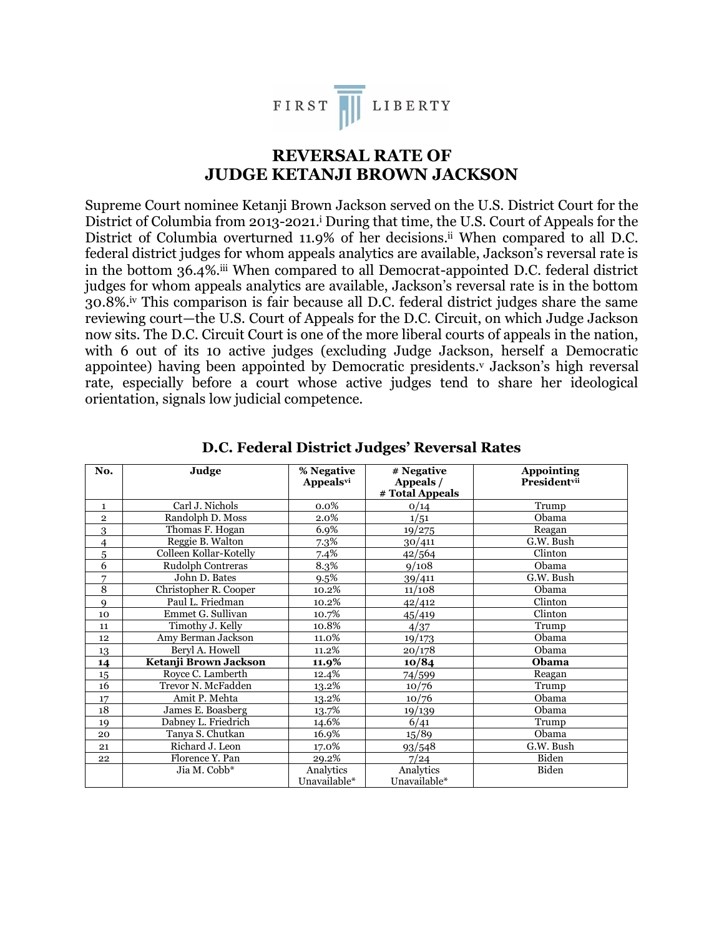

## **REVERSAL RATE OF JUDGE KETANJI BROWN JACKSON**

Supreme Court nominee Ketanji Brown Jackson served on the U.S. District Court for the District of Columbia from 2013-2021.<sup>1</sup> During that time, the U.S. Court of Appeals for the District of Columbia overturned 11.9% of her decisions. ii When compared to all D.C. federal district judges for whom appeals analytics are available, Jackson's reversal rate is in the bottom 36.4%.<sup>iii</sup> When compared to all Democrat-appointed D.C. federal district judges for whom appeals analytics are available, Jackson's reversal rate is in the bottom 30.8%.iv This comparison is fair because all D.C. federal district judges share the same reviewing court—the U.S. Court of Appeals for the D.C. Circuit, on which Judge Jackson now sits. The D.C. Circuit Court is one of the more liberal courts of appeals in the nation, with 6 out of its 10 active judges (excluding Judge Jackson, herself a Democratic appointee) having been appointed by Democratic presidents.<sup>v</sup> Jackson's high reversal rate, especially before a court whose active judges tend to share her ideological orientation, signals low judicial competence.

| No.          | Judge                  | % Negative       | # Negative      | <b>Appointing</b> |
|--------------|------------------------|------------------|-----------------|-------------------|
|              |                        | <b>Appealsvi</b> | Appeals /       | Presidentvii      |
|              |                        |                  | # Total Appeals |                   |
| $\mathbf{1}$ | Carl J. Nichols        | 0.0%             | 0/14            | Trump             |
| $\mathbf 2$  | Randolph D. Moss       | 2.0%             | 1/51            | Obama             |
| 3            | Thomas F. Hogan        | 6.9%             | 19/275          | Reagan            |
| 4            | Reggie B. Walton       | 7.3%             | 30/411          | G.W. Bush         |
| 5            | Colleen Kollar-Kotelly | 7.4%             | 42/564          | Clinton           |
| 6            | Rudolph Contreras      | 8.3%             | 9/108           | Obama             |
| 7            | John D. Bates          | 9.5%             | 39/411          | G.W. Bush         |
| 8            | Christopher R. Cooper  | 10.2%            | 11/108          | Obama             |
| 9            | Paul L. Friedman       | 10.2%            | 42/412          | Clinton           |
| 10           | Emmet G. Sullivan      | 10.7%            | 45/419          | Clinton           |
| 11           | Timothy J. Kelly       | 10.8%            | 4/37            | Trump             |
| 12           | Amy Berman Jackson     | 11.0%            | 19/173          | Obama             |
| 13           | Beryl A. Howell        | $11.2\%$         | 20/178          | Obama             |
| 14           | Ketanji Brown Jackson  | 11.9%            | 10/84           | Obama             |
| 15           | Royce C. Lamberth      | 12.4%            | 74/599          | Reagan            |
| 16           | Trevor N. McFadden     | 13.2%            | 10/76           | Trump             |
| 17           | Amit P. Mehta          | 13.2%            | 10/76           | Obama             |
| 18           | James E. Boasberg      | 13.7%            | 19/139          | Obama             |
| 19           | Dabney L. Friedrich    | $14.6\%$         | 6/41            | Trump             |
| 20           | Tanya S. Chutkan       | 16.9%            | 15/89           | Obama             |
| 21           | Richard J. Leon        | 17.0%            | 93/548          | G.W. Bush         |
| 22           | Florence Y. Pan        | 29.2%            | 7/24            | Biden             |
|              | Jia M. Cobb*           | Analytics        | Analytics       | Biden             |
|              |                        | Unavailable*     | Unavailable*    |                   |

**D.C. Federal District Judges' Reversal Rates**